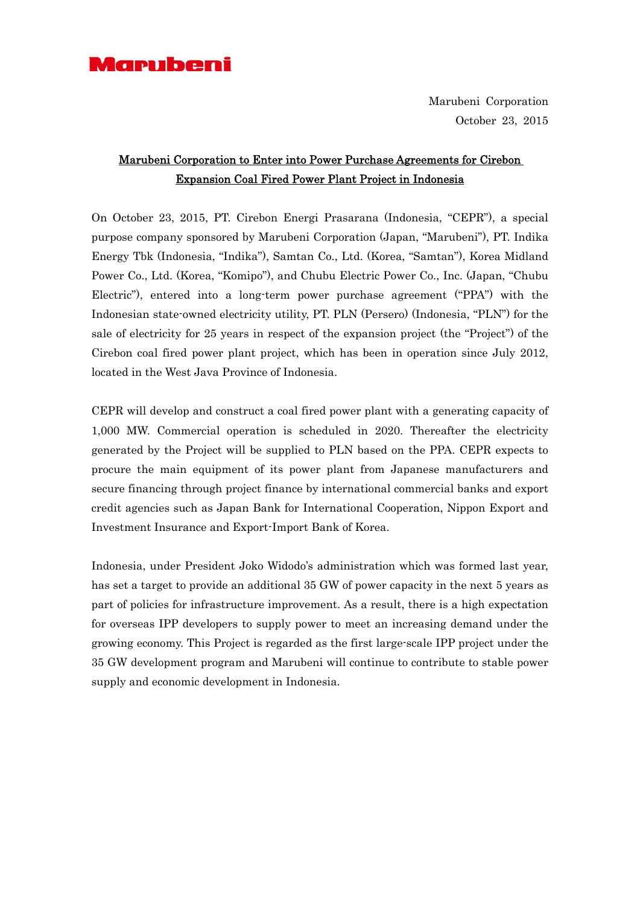

Marubeni Corporation October 23, 2015

# Marubeni Corporation to Enter into Power Purchase Agreements for Cirebon Expansion Coal Fired Power Plant Project in Indonesia

On October 23, 2015, PT. Cirebon Energi Prasarana (Indonesia, "CEPR"), a special purpose company sponsored by Marubeni Corporation (Japan, "Marubeni"), PT. Indika Energy Tbk (Indonesia, "Indika"), Samtan Co., Ltd. (Korea, "Samtan"), Korea Midland Power Co., Ltd. (Korea, "Komipo"), and Chubu Electric Power Co., Inc. (Japan, "Chubu Electric"), entered into a long-term power purchase agreement ("PPA") with the Indonesian state-owned electricity utility, PT. PLN (Persero) (Indonesia, "PLN") for the sale of electricity for 25 years in respect of the expansion project (the "Project") of the Cirebon coal fired power plant project, which has been in operation since July 2012, located in the West Java Province of Indonesia.

CEPR will develop and construct a coal fired power plant with a generating capacity of 1,000 MW. Commercial operation is scheduled in 2020. Thereafter the electricity generated by the Project will be supplied to PLN based on the PPA. CEPR expects to procure the main equipment of its power plant from Japanese manufacturers and secure financing through project finance by international commercial banks and export credit agencies such as Japan Bank for International Cooperation, Nippon Export and Investment Insurance and Export-Import Bank of Korea.

Indonesia, under President Joko Widodo's administration which was formed last year, has set a target to provide an additional 35 GW of power capacity in the next 5 years as part of policies for infrastructure improvement. As a result, there is a high expectation for overseas IPP developers to supply power to meet an increasing demand under the growing economy. This Project is regarded as the first large-scale IPP project under the 35 GW development program and Marubeni will continue to contribute to stable power supply and economic development in Indonesia.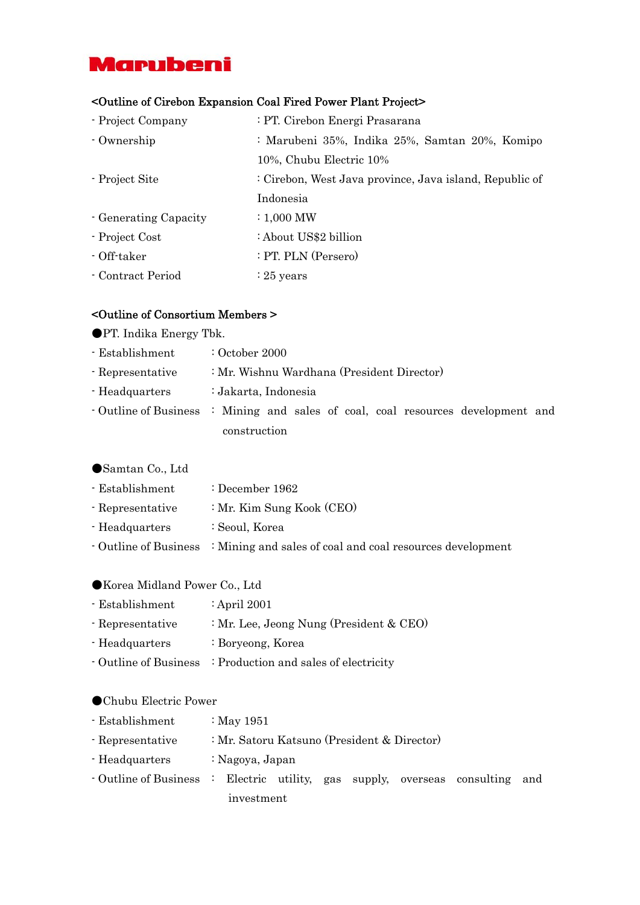# **Marubeni**

## <Outline of Cirebon Expansion Coal Fired Power Plant Project>

- Project Company : PT. Cirebon Energi Prasarana - Ownership : Marubeni 35%, Indika 25%, Samtan 20%, Komipo 10%, Chubu Electric 10% - Project Site : Cirebon, West Java province, Java island, Republic of Indonesia - Generating Capacity : 1,000 MW - Project Cost : About US\$2 billion - Off-taker : PT. PLN (Persero) - Contract Period : 25 years

### <Outline of Consortium Members >

- ●PT. Indika Energy Tbk.
- Establishment : October 2000
- Representative : Mr. Wishnu Wardhana (President Director)
- Headquarters : Jakarta, Indonesia
- Outline of Business : Mining and sales of coal, coal resources development and construction

### ●Samtan Co., Ltd

- Establishment : December 1962
- Representative : Mr. Kim Sung Kook (CEO)
- Headquarters : Seoul, Korea
- Outline of Business : Mining and sales of coal and coal resources development

#### ●Korea Midland Power Co., Ltd

- Establishment : April 2001 - Representative : Mr. Lee, Jeong Nung (President & CEO) - Headquarters : Boryeong, Korea - Outline of Business : Production and sales of electricity

#### ●Chubu Electric Power

| - Establishment                                                               | : May $1951$                                |  |  |  |  |  |  |  |
|-------------------------------------------------------------------------------|---------------------------------------------|--|--|--|--|--|--|--|
| - Representative                                                              | : Mr. Satoru Katsuno (President & Director) |  |  |  |  |  |  |  |
| - Headquarters                                                                | : Nagoya, Japan                             |  |  |  |  |  |  |  |
| • Outline of Business : Electric utility, gas supply, overseas consulting and |                                             |  |  |  |  |  |  |  |
|                                                                               | investment                                  |  |  |  |  |  |  |  |